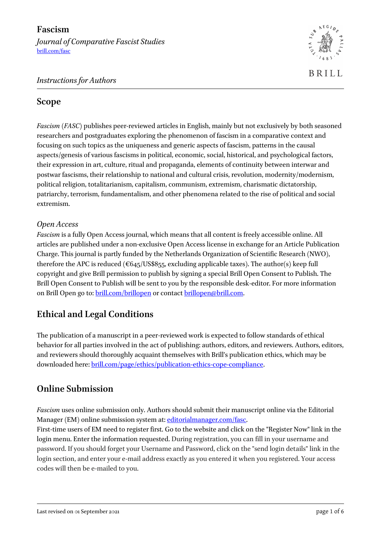

## *Instructions for Authors*

## **Scope**

*Fascism* (*FASC*) publishes peer-reviewed articles in English, mainly but not exclusively by both seasoned researchers and postgraduates exploring the phenomenon of fascism in a comparative context and focusing on such topics as the uniqueness and generic aspects of fascism, patterns in the causal aspects/genesis of various fascisms in political, economic, social, historical, and psychological factors, their expression in art, culture, ritual and propaganda, elements of continuity between interwar and postwar fascisms, their relationship to national and cultural crisis, revolution, modernity/modernism, political religion, totalitarianism, capitalism, communism, extremism, charismatic dictatorship, patriarchy, terrorism, fundamentalism, and other phenomena related to the rise of political and social extremism.

## *Open Access*

*Fascism* is a fully Open Access journal, which means that all content is freely accessible online. All articles are published under a non-exclusive Open Access license in exchange for an Article Publication Charge. This journal is partly funded by the Netherlands Organization of Scientific Research (NWO), therefore the APC is reduced ( $\epsilon$ 645/US\$855, excluding applicable taxes). The author(s) keep full copyright and give Brill permission to publish by signing a special Brill Open Consent to Publish. The Brill Open Consent to Publish will be sent to you by the responsible desk-editor. For more information on Brill Open go to: [brill.com/brillopen](mailto:brill.com/brillopen) or contact [brillopen@brill.com.](mailto:brillopen@brill.com)

# **Ethical and Legal Conditions**

The publication of a manuscript in a peer-reviewed work is expected to follow standards of ethical behavior for all parties involved in the act of publishing: authors, editors, and reviewers. Authors, editors, and reviewers should thoroughly acquaint themselves with Brill's publication ethics, which may be downloaded here[: brill.com/page/ethics/publication-ethics-cope-compliance.](https://brill.com/page/ethics/publication-ethics-cope-compliance)

## **Online Submission**

*Fascism* uses online submission only. Authors should submit their manuscript online via the Editorial Manager (EM) online submission system at: [editorialmanager.com/fasc.](http://www.editorialmanager.com/fasc/)

First-time users of EM need to register first. Go to the website and click on the "Register Now" link in the login menu. Enter the information requested. During registration, you can fill in your username and password. If you should forget your Username and Password, click on the "send login details" link in the login section, and enter your e-mail address exactly as you entered it when you registered. Your access codes will then be e-mailed to you.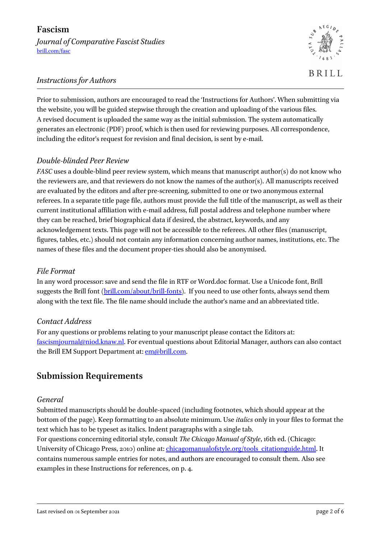*Journal of Comparative Fascist Studies* [brill.com/fasc](http://www.brill.com/fasc)



## *Instructions for Authors*

Prior to submission, authors are encouraged to read the 'Instructions for Authors'. When submitting via the website, you will be guided stepwise through the creation and uploading of the various files. A revised document is uploaded the same way as the initial submission. The system automatically generates an electronic (PDF) proof, which is then used for reviewing purposes. All correspondence, including the editor's request for revision and final decision, is sent by e-mail.

## *Double-blinded Peer Review*

*FASC* uses a double-blind peer review system, which means that manuscript author(s) do not know who the reviewers are, and that reviewers do not know the names of the author(s). All manuscripts received are evaluated by the editors and after pre-screening, submitted to one or two anonymous external referees. In a separate title page file, authors must provide the full title of the manuscript, as well as their current institutional affiliation with e-mail address, full postal address and telephone number where they can be reached, brief biographical data if desired, the abstract, keywords, and any acknowledgement texts. This page will not be accessible to the referees. All other files (manuscript, figures, tables, etc.) should not contain any information concerning author names, institutions, etc. The names of these files and the document proper-ties should also be anonymised.

#### *File Format*

In any word processor: save and send the file in RTF or Word.doc format. Use a Unicode font, Brill suggests the Brill font [\(brill.com/about/brill-fonts\)](http://www.brill.com/about/brill-fonts). If you need to use other fonts, always send them along with the text file. The file name should include the author's name and an abbreviated title.

#### *Contact Address*

For any questions or problems relating to your manuscript please contact the Editors at: [fascismjournal@niod.knaw.nl.](mailto:fascismjournal@niod.knaw.nl) For eventual questions about Editorial Manager, authors can also contact the Brill EM Support Department at[: em@brill.com.](mailto:em@brill.com)

## **Submission Requirements**

#### *General*

Submitted manuscripts should be double-spaced (including footnotes, which should appear at the bottom of the page). Keep formatting to an absolute minimum. Use *italics* only in your files to format the text which has to be typeset as italics. Indent paragraphs with a single tab.

For questions concerning editorial style, consult *The Chicago Manual of Style*, 16th ed. (Chicago: University of Chicago Press, 2010) online at: [chicagomanualofstyle.org/tools\\_citationguide.html.](http://www.chicagomanualofstyle.org/tools_citationguide.html) It contains numerous sample entries for notes, and authors are encouraged to consult them. Also see examples in these Instructions for references, on p. 4.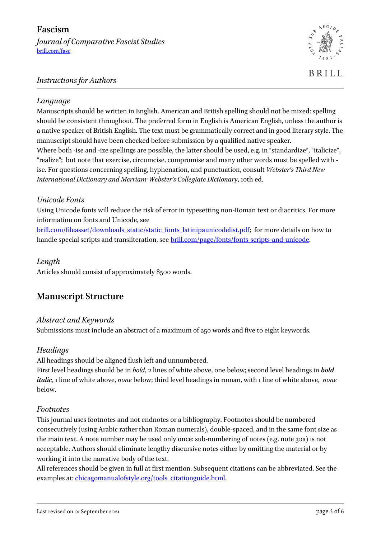## **Fascism**

*Journal of Comparative Fascist Studies* [brill.com/fasc](http://www.brill.com/fasc)



## *Instructions for Authors*

### *Language*

Manuscripts should be written in English. American and British spelling should not be mixed: spelling should be consistent throughout. The preferred form in English is American English, unless the author is a native speaker of British English. The text must be grammatically correct and in good literary style. The manuscript should have been checked before submission by a qualified native speaker. Where both -ise and -ize spellings are possible, the latter should be used, e.g. in "standardize", "italicize", "realize"; but note that exercise, circumcise, compromise and many other words must be spelled with ise. For questions concerning spelling, hyphenation, and punctuation, consult *Webster's Third New International Dictionary and Merriam-Webster's Collegiate Dictionary*, 10th ed.

## *Unicode Fonts*

Using Unicode fonts will reduce the risk of error in typesetting non-Roman text or diacritics. For more information on fonts and Unicode, see

[brill.com/fileasset/downloads\\_static/static\\_fonts\\_latinipaunicodelist.pdf;](https://brill.com/fileasset/downloads_static/static_fonts_latinipaunicodelist.pdf) for more details on how to handle special scripts and transliteration, see [brill.com/page/fonts/fonts-scripts-and-unicode.](https://brill.com/page/fonts/fonts-scripts-and-unicode)

## *Length*

Articles should consist of approximately 8500 words.

## **Manuscript Structure**

## *Abstract and Keywords*

Submissions must include an abstract of a maximum of 250 words and five to eight keywords.

#### *Headings*

All headings should be aligned flush left and unnumbered.

First level headings should be in *bold*, 2 lines of white above, one below; second level headings in *bold italic*, 1 line of white above, *none* below; third level headings in roman, with 1 line of white above, *none* below.

#### *Footnotes*

This journal uses footnotes and not endnotes or a bibliography. Footnotes should be numbered consecutively (using Arabic rather than Roman numerals), double-spaced, and in the same font size as the main text. A note number may be used only once: sub-numbering of notes (e.g. note 30a) is not acceptable. Authors should eliminate lengthy discursive notes either by omitting the material or by working it into the narrative body of the text.

All references should be given in full at first mention. Subsequent citations can be abbreviated. See the examples at[: chicagomanualofstyle.org/tools\\_citationguide.html.](http://www.chicagomanualofstyle.org/tools_citationguide.html)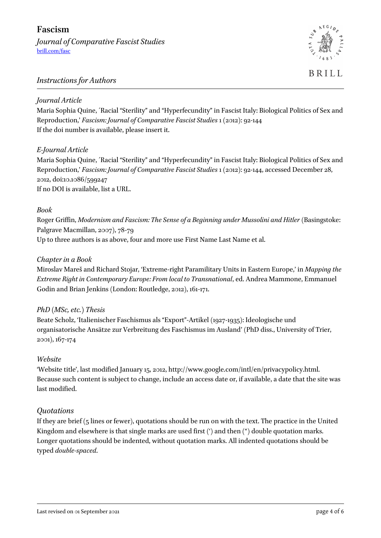*Journal of Comparative Fascist Studies* [brill.com/fasc](http://www.brill.com/fasc)



**BRILL** 

#### *Instructions for Authors*

#### *Journal Article*

Maria Sophia Quine, ´Racial "Sterility" and "Hyperfecundity" in Fascist Italy: Biological Politics of Sex and Reproduction,' *Fascism: Journal of Comparative Fascist Studies* 1 (2012): 92-144 If the doi number is available, please insert it.

#### *E-Journal Article*

Maria Sophia Quine, ´Racial "Sterility" and "Hyperfecundity" in Fascist Italy: Biological Politics of Sex and Reproduction,' *Fascism: Journal of Comparative Fascist Studies* 1 (2012): 92-144, accessed December 28, 2012, doi:10.1086/599247 If no DOI is available, list a URL.

#### *Book*

Roger Griffin, *Modernism and Fascism: The Sense of a Beginning under Mussolini and Hitler* (Basingstoke: Palgrave Macmillan, 2007), 78-79

Up to three authors is as above, four and more use First Name Last Name et al.

#### *Chapter in a Book*

Miroslav Mareš and Richard Stojar, 'Extreme-right Paramilitary Units in Eastern Europe,' in *Mapping the Extreme Right in Contemporary Europe: From local to Transnational*, ed. Andrea Mammone, Emmanuel Godin and Brian Jenkins (London: Routledge, 2012), 161-171.

#### *PhD (MSc, etc.) Thesis*

Beate Scholz, 'Italienischer Faschismus als "Export"-Artikel (1927-1935): Ideologische und organisatorische Ansätze zur Verbreitung des Faschismus im Ausland' (PhD diss., University of Trier, 2001), 167-174

#### *Website*

'Website title', last modified January 15, 2012, http://www.google.com/intl/en/privacypolicy.html. Because such content is subject to change, include an access date or, if available, a date that the site was last modified.

#### *Quotations*

If they are brief (5 lines or fewer), quotations should be run on with the text. The practice in the United Kingdom and elsewhere is that single marks are used first (') and then (") double quotation marks. Longer quotations should be indented, without quotation marks. All indented quotations should be typed *double-spaced*.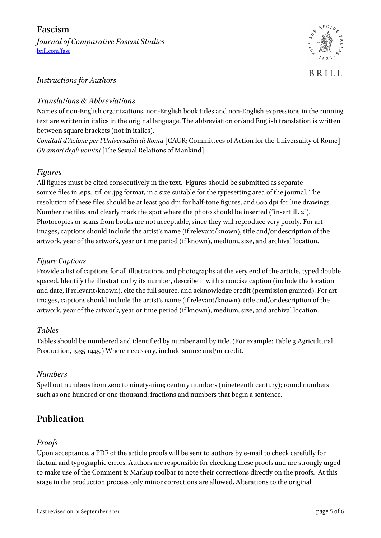## **Fascism**

*Journal of Comparative Fascist Studies* [brill.com/fasc](http://www.brill.com/fasc)



## *Instructions for Authors*

## *Translations & Abbreviations*

Names of non-English organizations, non-English book titles and non-English expressions in the running text are written in italics in the original language. The abbreviation or/and English translation is written between square brackets (not in italics).

*Comitati d'Azione per l'Universalità di Roma* [CAUR; Committees of Action for the Universality of Rome] *Gli amori degli uomini* [The Sexual Relations of Mankind]

## *Figures*

All figures must be cited consecutively in the text. Figures should be submitted as separate source files in .eps, .tif, or .jpg format, in a size suitable for the typesetting area of the journal. The resolution of these files should be at least 300 dpi for half-tone figures, and 600 dpi for line drawings. Number the files and clearly mark the spot where the photo should be inserted ("insert ill. 2"). Photocopies or scans from books are not acceptable, since they will reproduce very poorly. For art images, captions should include the artist's name (if relevant/known), title and/or description of the artwork, year of the artwork, year or time period (if known), medium, size, and archival location.

## *Figure Captions*

Provide a list of captions for all illustrations and photographs at the very end of the article, typed double spaced. Identify the illustration by its number, describe it with a concise caption (include the location and date, if relevant/known), cite the full source, and acknowledge credit (permission granted). For art images, captions should include the artist's name (if relevant/known), title and/or description of the artwork, year of the artwork, year or time period (if known), medium, size, and archival location.

#### *Tables*

Tables should be numbered and identified by number and by title. (For example: Table 3 Agricultural Production, 1935-1945.) Where necessary, include source and/or credit.

## *Numbers*

Spell out numbers from zero to ninety-nine; century numbers (nineteenth century); round numbers such as one hundred or one thousand; fractions and numbers that begin a sentence.

# **Publication**

## *Proofs*

Upon acceptance, a PDF of the article proofs will be sent to authors by e-mail to check carefully for factual and typographic errors. Authors are responsible for checking these proofs and are strongly urged to make use of the Comment & Markup toolbar to note their corrections directly on the proofs. At this stage in the production process only minor corrections are allowed. Alterations to the original